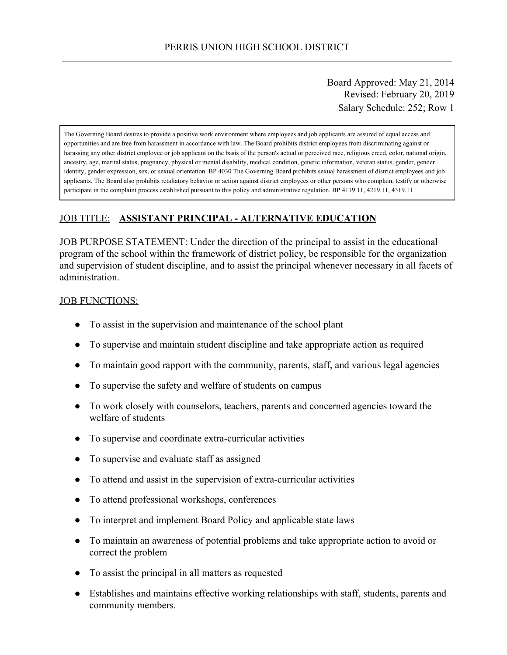Board Approved: May 21, 2014 Revised: February 20, 2019 Salary Schedule: 252; Row 1

The Governing Board desires to provide a positive work environment where employees and job applicants are assured of equal access and opportunities and are free from harassment in accordance with law. The Board prohibits district employees from discriminating against or harassing any other district employee or job applicant on the basis of the person's actual or perceived race, religious creed, color, national origin, ancestry, age, marital status, pregnancy, physical or mental disability, medical condition, genetic information, veteran status, gender, gender identity, gender expression, sex, or sexual orientation. BP 4030 The Governing Board prohibits sexual harassment of district employees and job applicants. The Board also prohibits retaliatory behavior or action against district employees or other persons who complain, testify or otherwise participate in the complaint process established pursuant to this policy and administrative regulation. BP 4119.11, 4219.11, 4319.11

## JOB TITLE: **ASSISTANT PRINCIPAL - ALTERNATIVE EDUCATION**

JOB PURPOSE STATEMENT: Under the direction of the principal to assist in the educational program of the school within the framework of district policy, be responsible for the organization and supervision of student discipline, and to assist the principal whenever necessary in all facets of administration.

#### **JOB FUNCTIONS:**

- To assist in the supervision and maintenance of the school plant
- To supervise and maintain student discipline and take appropriate action as required
- To maintain good rapport with the community, parents, staff, and various legal agencies
- To supervise the safety and welfare of students on campus
- To work closely with counselors, teachers, parents and concerned agencies toward the welfare of students
- To supervise and coordinate extra-curricular activities
- To supervise and evaluate staff as assigned
- To attend and assist in the supervision of extra-curricular activities
- To attend professional workshops, conferences
- To interpret and implement Board Policy and applicable state laws
- To maintain an awareness of potential problems and take appropriate action to avoid or correct the problem
- To assist the principal in all matters as requested
- Establishes and maintains effective working relationships with staff, students, parents and community members.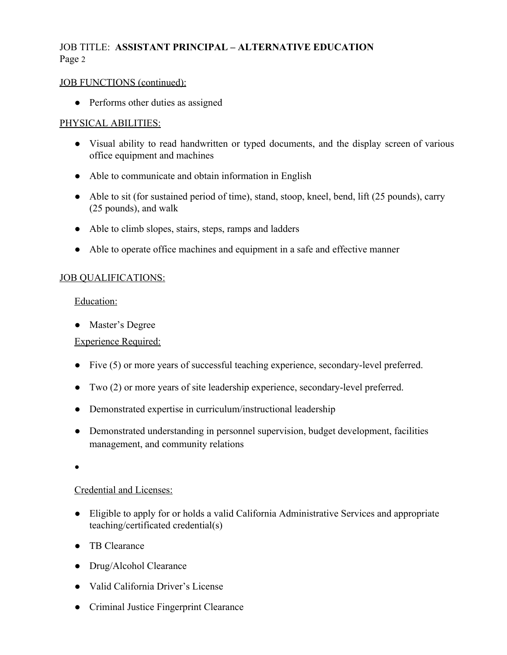## JOB TITLE: **ASSISTANT PRINCIPAL – ALTERNATIVE EDUCATION** Page 2

### JOB FUNCTIONS (continued):

• Performs other duties as assigned

## PHYSICAL ABILITIES:

- Visual ability to read handwritten or typed documents, and the display screen of various office equipment and machines
- Able to communicate and obtain information in English
- Able to sit (for sustained period of time), stand, stoop, kneel, bend, lift (25 pounds), carry (25 pounds), and walk
- Able to climb slopes, stairs, steps, ramps and ladders
- Able to operate office machines and equipment in a safe and effective manner

## JOB QUALIFICATIONS:

#### Education:

● Master's Degree

## Experience Required:

- Five (5) or more years of successful teaching experience, secondary-level preferred.
- Two (2) or more years of site leadership experience, secondary-level preferred.
- Demonstrated expertise in curriculum/instructional leadership
- Demonstrated understanding in personnel supervision, budget development, facilities management, and community relations

●

## Credential and Licenses:

- Eligible to apply for or holds a valid California Administrative Services and appropriate teaching/certificated credential(s)
- TB Clearance
- Drug/Alcohol Clearance
- Valid California Driver's License
- Criminal Justice Fingerprint Clearance